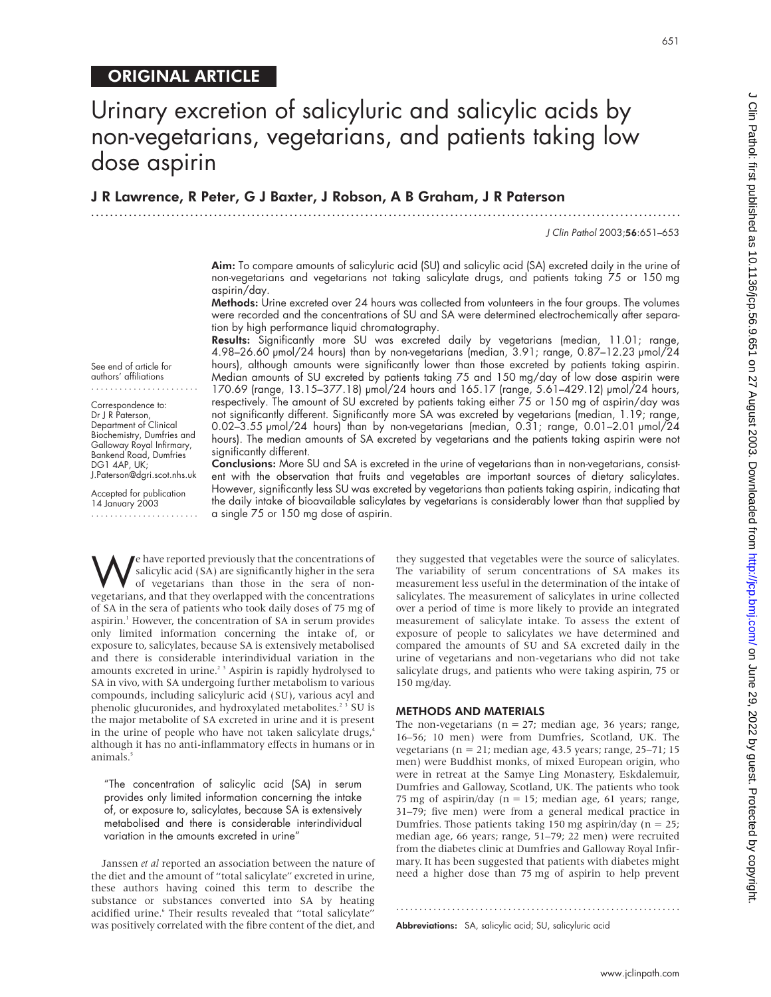## ORIGINAL ARTICLE

See end of article for authors' affiliations ....................... Correspondence to: Dr J R Paterson, Department of Clinical Biochemistry, Dumfries and Galloway Royal Infirmary, Bankend Road, Dumfries DG1 4AP, UK;

J.Paterson@dgri.scot.nhs.uk Accepted for publication 14 January 2003 .......................

## Urinary excretion of salicyluric and salicylic acids by non-vegetarians, vegetarians, and patients taking low dose aspirin

J R Lawrence, R Peter, G J Baxter, J Robson, A B Graham, J R Paterson

.............................................................................................................................

J Clin Pathol 2003;56:651–653

Aim: To compare amounts of salicyluric acid (SU) and salicylic acid (SA) excreted daily in the urine of non-vegetarians and vegetarians not taking salicylate drugs, and patients taking 75 or 150 mg aspirin/day.

Methods: Urine excreted over 24 hours was collected from volunteers in the four groups. The volumes were recorded and the concentrations of SU and SA were determined electrochemically after separation by high performance liquid chromatography.

Results: Significantly more SU was excreted daily by vegetarians (median, 11.01; range, 4.98–26.60 µmol/24 hours) than by non-vegetarians (median, 3.91; range, 0.87–12.23 µmol/24 hours), although amounts were significantly lower than those excreted by patients taking aspirin. Median amounts of SU excreted by patients taking 75 and 150 mg/day of low dose aspirin were 170.69 (range, 13.15–377.18) µmol/24 hours and 165.17 (range, 5.61–429.12) µmol/24 hours, respectively. The amount of SU excreted by patients taking either 75 or 150 mg of aspirin/day was not significantly different. Significantly more SA was excreted by vegetarians (median, 1.19; range, 0.02–3.55 µmol/24 hours) than by non-vegetarians (median, 0.31; range, 0.01–2.01 µmol/24 hours). The median amounts of SA excreted by vegetarians and the patients taking aspirin were not significantly different.

**Conclusions:** More SU and SA is excreted in the urine of vegetarians than in non-vegetarians, consistent with the observation that fruits and vegetables are important sources of dietary salicylates. However, significantly less SU was excreted by vegetarians than patients taking aspirin, indicating that the daily intake of bioavailable salicylates by vegetarians is considerably lower than that supplied by a single 75 or 150 mg dose of aspirin.

We have reported previously that the concentrations of<br>salicylic acid (SA) are significantly higher in the sera<br>of orgetarians than those in the sera of non-<br>vegetarians and that they overlanged with the concentrations salicylic acid (SA) are significantly higher in the sera of vegetarians than those in the sera of nonvegetarians, and that they overlapped with the concentrations of SA in the sera of patients who took daily doses of 75 mg of aspirin.<sup>1</sup> However, the concentration of SA in serum provides only limited information concerning the intake of, or exposure to, salicylates, because SA is extensively metabolised and there is considerable interindividual variation in the amounts excreted in urine.<sup>23</sup> Aspirin is rapidly hydrolysed to SA in vivo, with SA undergoing further metabolism to various compounds, including salicyluric acid (SU), various acyl and phenolic glucuronides, and hydroxylated metabolites.<sup>23</sup> SU is the major metabolite of SA excreted in urine and it is present in the urine of people who have not taken salicylate drugs,<sup>4</sup> although it has no anti-inflammatory effects in humans or in animals.<sup>5</sup>

"The concentration of salicylic acid (SA) in serum provides only limited information concerning the intake of, or exposure to, salicylates, because SA is extensively metabolised and there is considerable interindividual variation in the amounts excreted in urine"

Janssen *et al* reported an association between the nature of the diet and the amount of "total salicylate" excreted in urine, these authors having coined this term to describe the substance or substances converted into SA by heating acidified urine.<sup>6</sup> Their results revealed that "total salicylate" was positively correlated with the fibre content of the diet, and they suggested that vegetables were the source of salicylates. The variability of serum concentrations of SA makes its measurement less useful in the determination of the intake of salicylates. The measurement of salicylates in urine collected over a period of time is more likely to provide an integrated measurement of salicylate intake. To assess the extent of exposure of people to salicylates we have determined and compared the amounts of SU and SA excreted daily in the urine of vegetarians and non-vegetarians who did not take salicylate drugs, and patients who were taking aspirin, 75 or 150 mg/day.

## METHODS AND MATERIALS

The non-vegetarians ( $n = 27$ ; median age, 36 years; range, 16–56; 10 men) were from Dumfries, Scotland, UK. The vegetarians ( $n = 21$ ; median age, 43.5 years; range, 25–71; 15 men) were Buddhist monks, of mixed European origin, who were in retreat at the Samye Ling Monastery, Eskdalemuir, Dumfries and Galloway, Scotland, UK. The patients who took 75 mg of aspirin/day ( $n = 15$ ; median age, 61 years; range, 31–79; five men) were from a general medical practice in Dumfries. Those patients taking 150 mg aspirin/day ( $n = 25$ ; median age, 66 years; range, 51–79; 22 men) were recruited from the diabetes clinic at Dumfries and Galloway Royal Infirmary. It has been suggested that patients with diabetes might need a higher dose than 75 mg of aspirin to help prevent

.............................................................

Abbreviations: SA, salicylic acid; SU, salicyluric acid

651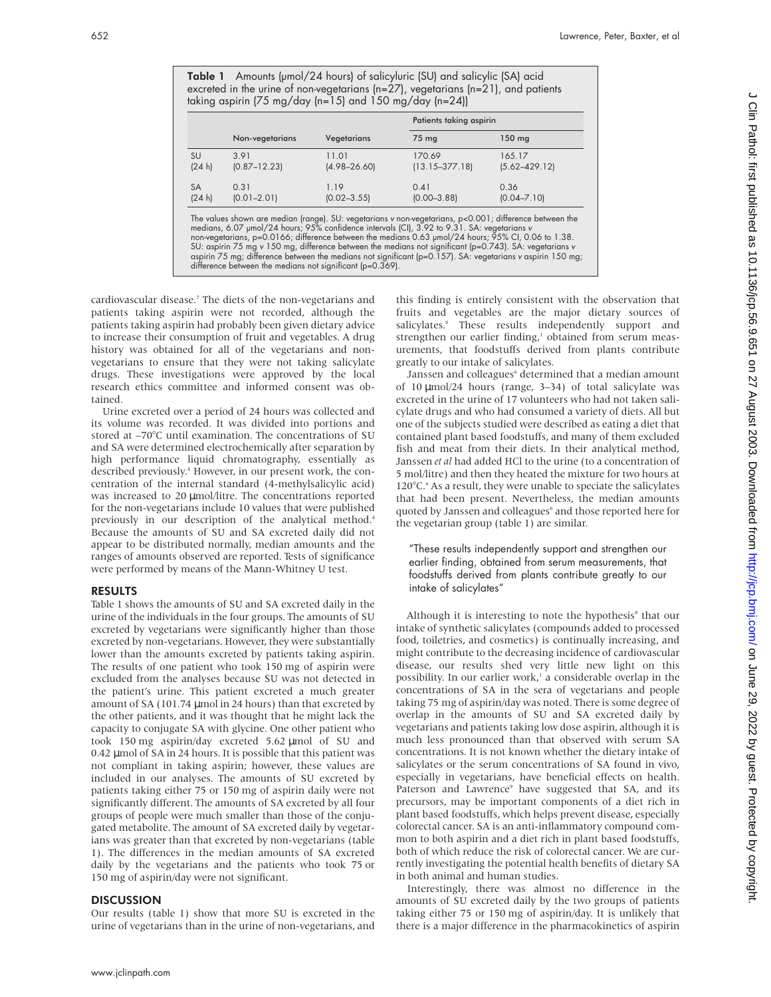Table 1 Amounts (µmol/24 hours) of salicyluric (SU) and salicylic (SA) acid excreted in the urine of non-vegetarians (n=27), vegetarians (n=21), and patients taking aspirin (75 mg/day (n=15) and 150 mg/day (n=24))

|           | Non-vegetarians  | Vegetarians      | Patients taking aspirin |                   |
|-----------|------------------|------------------|-------------------------|-------------------|
|           |                  |                  | 75 mg                   | $150$ mg          |
| <b>SU</b> | 3.91             | 11.01            | 170.69                  | 165.17            |
| (24 h)    | $(0.87 - 12.23)$ | $(4.98 - 26.60)$ | $(13.15 - 377.18)$      | $(5.62 - 429.12)$ |
| SA        | 0.31             | 1.19             | 0.41                    | 0.36              |
| (24 h)    | $(0.01 - 2.01)$  | $(0.02 - 3.55)$  | $(0.00 - 3.88)$         | $(0.04 - 7.10)$   |

The values shown are median (range). SU: vegetarians v non-vegetarians, p<0.001; difference between the medians, 6.07 µmol/24 hours; 95% confidence intervals [Cl], 3.92 to 9.31. SA: vegetarians v<br>non-vegetarians, p=0.0166; difference between the medians not significant (p=0.369).

cardiovascular disease.<sup>7</sup> The diets of the non-vegetarians and patients taking aspirin were not recorded, although the patients taking aspirin had probably been given dietary advice to increase their consumption of fruit and vegetables. A drug history was obtained for all of the vegetarians and nonvegetarians to ensure that they were not taking salicylate drugs. These investigations were approved by the local research ethics committee and informed consent was obtained.

Urine excreted over a period of 24 hours was collected and its volume was recorded. It was divided into portions and stored at –70°C until examination. The concentrations of SU and SA were determined electrochemically after separation by high performance liquid chromatography, essentially as described previously.<sup>4</sup> However, in our present work, the concentration of the internal standard (4-methylsalicylic acid) was increased to 20 µmol/litre. The concentrations reported for the non-vegetarians include 10 values that were published previously in our description of the analytical method.<sup>4</sup> Because the amounts of SU and SA excreted daily did not appear to be distributed normally, median amounts and the ranges of amounts observed are reported. Tests of significance were performed by means of the Mann-Whitney U test.

### RESULTS

Table 1 shows the amounts of SU and SA excreted daily in the urine of the individuals in the four groups. The amounts of SU excreted by vegetarians were significantly higher than those excreted by non-vegetarians. However, they were substantially lower than the amounts excreted by patients taking aspirin. The results of one patient who took 150 mg of aspirin were excluded from the analyses because SU was not detected in the patient's urine. This patient excreted a much greater amount of SA (101.74 µmol in 24 hours) than that excreted by the other patients, and it was thought that he might lack the capacity to conjugate SA with glycine. One other patient who took 150 mg aspirin/day excreted 5.62 µmol of SU and 0.42 µmol of SA in 24 hours. It is possible that this patient was not compliant in taking aspirin; however, these values are included in our analyses. The amounts of SU excreted by patients taking either 75 or 150 mg of aspirin daily were not significantly different. The amounts of SA excreted by all four groups of people were much smaller than those of the conjugated metabolite. The amount of SA excreted daily by vegetarians was greater than that excreted by non-vegetarians (table 1). The differences in the median amounts of SA excreted daily by the vegetarians and the patients who took 75 or 150 mg of aspirin/day were not significant.

### **DISCUSSION**

Our results (table 1) show that more SU is excreted in the urine of vegetarians than in the urine of non-vegetarians, and

this finding is entirely consistent with the observation that fruits and vegetables are the major dietary sources of salicylates.<sup>6</sup> These results independently support and strengthen our earlier finding,<sup>1</sup> obtained from serum measurements, that foodstuffs derived from plants contribute greatly to our intake of salicylates.

Janssen and colleagues<sup>6</sup> determined that a median amount of 10 µmol/24 hours (range, 3–34) of total salicylate was excreted in the urine of 17 volunteers who had not taken salicylate drugs and who had consumed a variety of diets. All but one of the subjects studied were described as eating a diet that contained plant based foodstuffs, and many of them excluded fish and meat from their diets. In their analytical method, Janssen *et al* had added HCl to the urine (to a concentration of 5 mol/litre) and then they heated the mixture for two hours at 120°C.<sup>6</sup> As a result, they were unable to speciate the salicylates that had been present. Nevertheless, the median amounts quoted by Janssen and colleagues<sup>6</sup> and those reported here for the vegetarian group (table 1) are similar.

"These results independently support and strengthen our earlier finding, obtained from serum measurements, that foodstuffs derived from plants contribute greatly to our intake of salicylates"

Although it is interesting to note the hypothesis<sup>8</sup> that our intake of synthetic salicylates (compounds added to processed food, toiletries, and cosmetics) is continually increasing, and might contribute to the decreasing incidence of cardiovascular disease, our results shed very little new light on this possibility. In our earlier work,<sup>1</sup> a considerable overlap in the concentrations of SA in the sera of vegetarians and people taking 75 mg of aspirin/day was noted. There is some degree of overlap in the amounts of SU and SA excreted daily by vegetarians and patients taking low dose aspirin, although it is much less pronounced than that observed with serum SA concentrations. It is not known whether the dietary intake of salicylates or the serum concentrations of SA found in vivo, especially in vegetarians, have beneficial effects on health. Paterson and Lawrence<sup>9</sup> have suggested that SA, and its precursors, may be important components of a diet rich in plant based foodstuffs, which helps prevent disease, especially colorectal cancer. SA is an anti-inflammatory compound common to both aspirin and a diet rich in plant based foodstuffs, both of which reduce the risk of colorectal cancer. We are currently investigating the potential health benefits of dietary SA in both animal and human studies.

Interestingly, there was almost no difference in the amounts of SU excreted daily by the two groups of patients taking either 75 or 150 mg of aspirin/day. It is unlikely that there is a major difference in the pharmacokinetics of aspirin